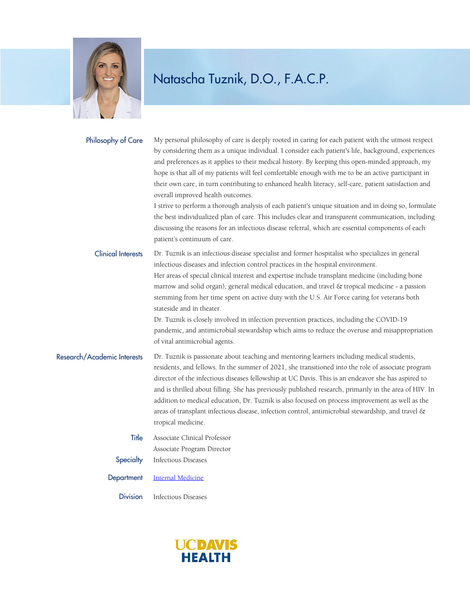

## Natascha Tuznik, D.O., F.A.C.P.

## My personal philosophy of care is deeply rooted in caring for each patient with the utmost respect by considering them as a unique individual. I consider each patient's life, background, experiences and preferences as it applies to their medical history. By keeping this open-minded approach, my hope is that all of my patients will feel comfortable enough with me to be an active participant in their own care, in turn contributing to enhanced health literacy, self-care, patient satisfaction and overall improved health outcomes. I strive to perform a thorough analysis of each patient's unique situation and in doing so, formulate the best individualized plan of care. This includes clear and transparent communication, including discussing the reasons for an infectious disease referral, which are essential components of each patient's continuum of care. Philosophy of Care Dr. Tuznik is an infectious disease specialist and former hospitalist who specializes in general infectious diseases and infection control practices in the hospital environment. Her areas of special clinical interest and expertise include transplant medicine (including bone marrow and solid organ), general medical education, and travel & tropical medicine - a passion stemming from her time spent on active duty with the U.S. Air Force caring for veterans both stateside and in theater. Dr. Tuznik is closely involved in infection prevention practices, including the COVID-19 pandemic, and antimicrobial stewardship which aims to reduce the overuse and misappropriation of vital antimicrobial agents. Clinical Interests Dr. Tuznik is passionate about teaching and mentoring learners including medical students, residents, and fellows. In the summer of 2021, she transitioned into the role of associate program director of the infectious diseases fellowship at UC Davis. This is an endeavor she has aspired to and is thrilled about filling. She has previously published research, primarily in the area of HIV. In addition to medical education, Dr. Tuznik is also focused on process improvement as well as the areas of transplant infectious disease, infection control, antimicrobial stewardship, and travel & tropical medicine. Research/Academic Interests Title Associate Clinical Professor Associate Program Director Specialty Infectious Diseases Department [Internal Medicine](https://www.ucdmc.ucdavis.edu/internalmedicine/)

Division Infectious Diseases

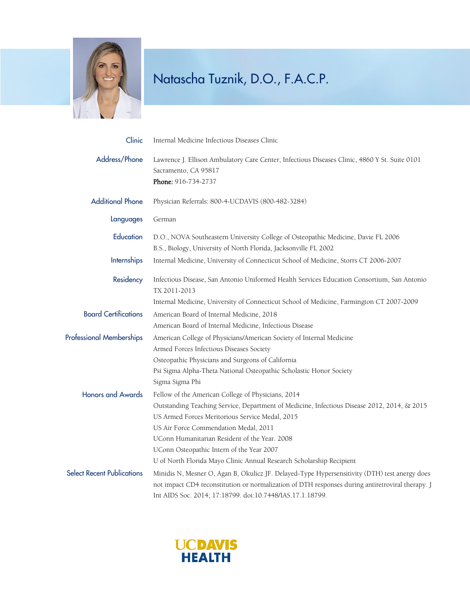

## Natascha Tuznik, D.O., F.A.C.P.

| Clinic                            | Internal Medicine Infectious Diseases Clinic                                                                                                          |
|-----------------------------------|-------------------------------------------------------------------------------------------------------------------------------------------------------|
| Address/Phone                     | Lawrence J. Ellison Ambulatory Care Center, Infectious Diseases Clinic, 4860 Y St. Suite 0101<br>Sacramento, CA 95817<br>Phone: 916-734-2737          |
|                                   |                                                                                                                                                       |
| <b>Additional Phone</b>           | Physician Referrals: 800-4-UCDAVIS (800-482-3284)                                                                                                     |
| Languages                         | German                                                                                                                                                |
| Education                         | D.O., NOVA Southeastern University College of Osteopathic Medicine, Davie FL 2006<br>B.S., Biology, University of North Florida, Jacksonville FL 2002 |
| Internships                       | Internal Medicine, University of Connecticut School of Medicine, Storrs CT 2006-2007                                                                  |
| Residency                         | Infectious Disease, San Antonio Uniformed Health Services Education Consortium, San Antonio<br>TX 2011-2013                                           |
|                                   | Internal Medicine, University of Connecticut School of Medicine, Farmington CT 2007-2009                                                              |
| <b>Board Certifications</b>       | American Board of Internal Medicine, 2018                                                                                                             |
|                                   | American Board of Internal Medicine, Infectious Disease                                                                                               |
| <b>Professional Memberships</b>   | American College of Physicians/American Society of Internal Medicine                                                                                  |
|                                   | Armed Forces Infectious Diseases Society                                                                                                              |
|                                   | Osteopathic Physicians and Surgeons of California                                                                                                     |
|                                   | Psi Sigma Alpha-Theta National Osteopathic Scholastic Honor Society                                                                                   |
|                                   | Sigma Sigma Phi                                                                                                                                       |
| <b>Honors and Awards</b>          | Fellow of the American College of Physicians, 2014                                                                                                    |
|                                   | Outstanding Teaching Service, Department of Medicine, Infectious Disease 2012, 2014, & 2015                                                           |
|                                   | US Armed Forces Meritorious Service Medal, 2015                                                                                                       |
|                                   | US Air Force Commendation Medal, 2011                                                                                                                 |
|                                   | UConn Humanitarian Resident of the Year. 2008                                                                                                         |
|                                   | UConn Osteopathic Intern of the Year 2007                                                                                                             |
|                                   | U of North Florida Mayo Clinic Annual Research Scholarship Recipient                                                                                  |
| <b>Select Recent Publications</b> | Minidis N, Mesner O, Agan B, Okulicz JF. Delayed-Type Hypersensitivity (DTH) test anergy does                                                         |
|                                   | not impact CD4 reconstitution or normalization of DTH responses during antiretroviral therapy. J                                                      |
|                                   | Int AIDS Soc. 2014; 17:18799. doi:10.7448/IAS.17.1.18799.                                                                                             |